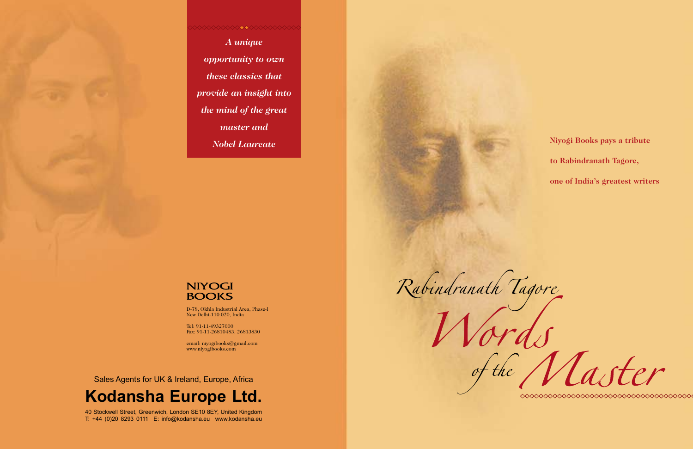**Niyogi Books pays a tribute to Rabindranath Tagore, one of India's greatest writers**



Rabindranath Tagore

D-78, Okhla Industrial Area, Phase-I New Delhi-110 020, India

Tel: 91-11-49327000 Fax: 91-11-26810483, 26813830

**xxxxxxxxxxxx** *A unique opportunity to own these classics that provide an insight into the mind of the great master and Nobel Laureate* 

## **NIYOGI BOOKS**

email: niyogibooks@gmail.com www.niyogibooks.com

Sales Agents for UK & Ireland, Europe, Africa

## **Kodansha Europe Ltd.**

40 Stockwell Street, Greenwich, London SE10 8EY, United Kingdom T: +44 (0)20 8293 0111 E: info@kodansha.eu www.kodansha.eu